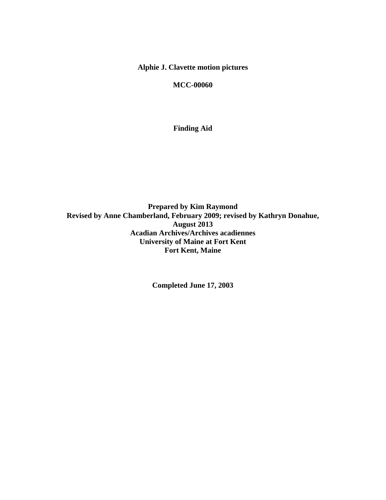# **Alphie J. Clavette motion pictures**

**MCC-00060** 

**Finding Aid** 

**Prepared by Kim Raymond Revised by Anne Chamberland, February 2009; revised by Kathryn Donahue, August 2013 Acadian Archives/Archives acadiennes University of Maine at Fort Kent Fort Kent, Maine** 

**Completed June 17, 2003**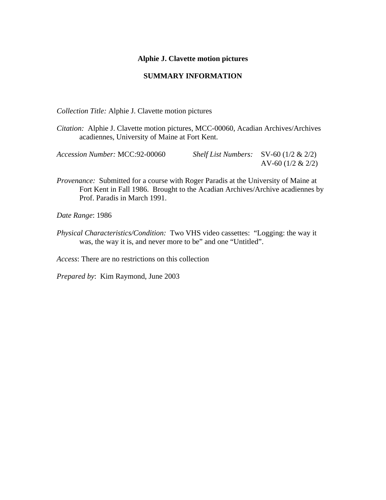#### **Alphie J. Clavette motion pictures**

#### **SUMMARY INFORMATION**

*Collection Title:* Alphie J. Clavette motion pictures

*Citation:* Alphie J. Clavette motion pictures, MCC-00060, Acadian Archives/Archives acadiennes, University of Maine at Fort Kent.

| Accession Number: MCC:92-00060 | <i>Shelf List Numbers:</i> $SV-60$ (1/2 & 2/2) |                      |
|--------------------------------|------------------------------------------------|----------------------|
|                                |                                                | AV-60 $(1/2 \& 2/2)$ |

*Provenance:* Submitted for a course with Roger Paradis at the University of Maine at Fort Kent in Fall 1986. Brought to the Acadian Archives/Archive acadiennes by Prof. Paradis in March 1991.

*Date Range*: 1986

*Physical Characteristics/Condition:* Two VHS video cassettes: "Logging: the way it was, the way it is, and never more to be" and one "Untitled".

*Access*: There are no restrictions on this collection

*Prepared by*: Kim Raymond, June 2003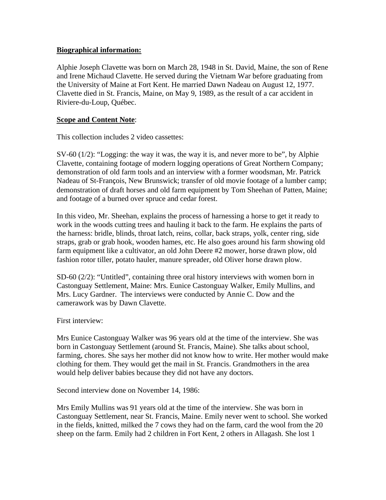# **Biographical information:**

Alphie Joseph Clavette was born on March 28, 1948 in St. David, Maine, the son of Rene and Irene Michaud Clavette. He served during the Vietnam War before graduating from the University of Maine at Fort Kent. He married Dawn Nadeau on August 12, 1977. Clavette died in St. Francis, Maine, on May 9, 1989, as the result of a car accident in Riviere-du-Loup, Québec.

### **Scope and Content Note**:

This collection includes 2 video cassettes:

 $SV-60$  (1/2): "Logging: the way it was, the way it is, and never more to be", by Alphie Clavette, containing footage of modern logging operations of Great Northern Company; demonstration of old farm tools and an interview with a former woodsman, Mr. Patrick Nadeau of St-François, New Brunswick; transfer of old movie footage of a lumber camp; demonstration of draft horses and old farm equipment by Tom Sheehan of Patten, Maine; and footage of a burned over spruce and cedar forest.

In this video, Mr. Sheehan, explains the process of harnessing a horse to get it ready to work in the woods cutting trees and hauling it back to the farm. He explains the parts of the harness: bridle, blinds, throat latch, reins, collar, back straps, yolk, center ring, side straps, grab or grab hook, wooden hames, etc. He also goes around his farm showing old farm equipment like a cultivator, an old John Deere #2 mower, horse drawn plow, old fashion rotor tiller, potato hauler, manure spreader, old Oliver horse drawn plow.

SD-60 (2/2): "Untitled", containing three oral history interviews with women born in Castonguay Settlement, Maine: Mrs. Eunice Castonguay Walker, Emily Mullins, and Mrs. Lucy Gardner. The interviews were conducted by Annie C. Dow and the camerawork was by Dawn Clavette.

First interview:

Mrs Eunice Castonguay Walker was 96 years old at the time of the interview. She was born in Castonguay Settlement (around St. Francis, Maine). She talks about school, farming, chores. She says her mother did not know how to write. Her mother would make clothing for them. They would get the mail in St. Francis. Grandmothers in the area would help deliver babies because they did not have any doctors.

Second interview done on November 14, 1986:

Mrs Emily Mullins was 91 years old at the time of the interview. She was born in Castonguay Settlement, near St. Francis, Maine. Emily never went to school. She worked in the fields, knitted, milked the 7 cows they had on the farm, card the wool from the 20 sheep on the farm. Emily had 2 children in Fort Kent, 2 others in Allagash. She lost 1